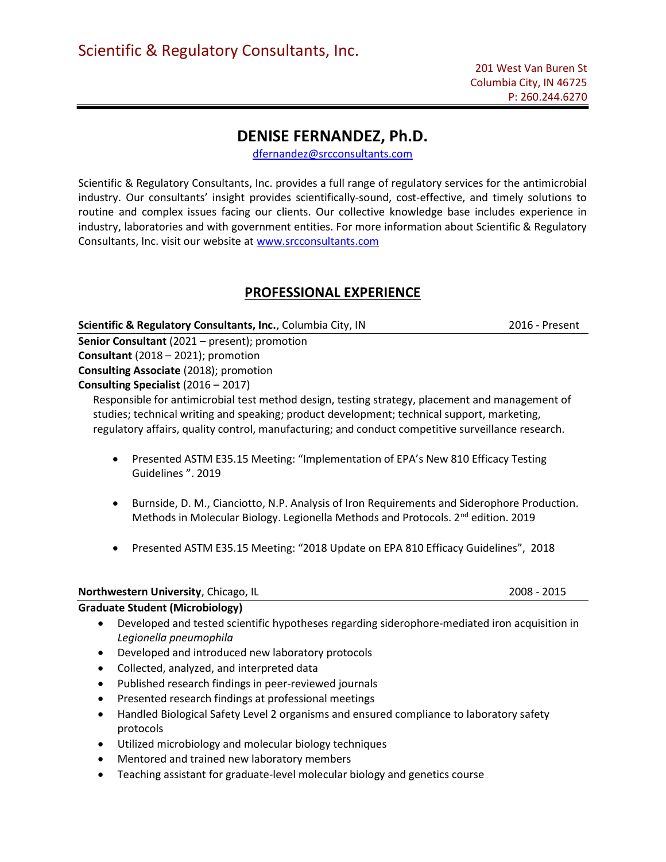# DENISE FERNANDEZ, Ph.D.

dfernandez@srcconsultants.com

Scientific & Regulatory Consultants, Inc. provides a full range of regulatory services for the antimicrobial industry. Our consultants' insight provides scientifically-sound, cost-effective, and timely solutions to routine and complex issues facing our clients. Our collective knowledge base includes experience in industry, laboratories and with government entities. For more information about Scientific & Regulatory Consultants, Inc. visit our website at www.srcconsultants.com

# PROFESSIONAL EXPERIENCE

Scientific & Regulatory Consultants, Inc., Columbia City, IN 2016 - Present

Senior Consultant (2021 – present); promotion Consultant (2018 – 2021); promotion

Consulting Associate (2018); promotion

Consulting Specialist (2016 – 2017)

Responsible for antimicrobial test method design, testing strategy, placement and management of studies; technical writing and speaking; product development; technical support, marketing, regulatory affairs, quality control, manufacturing; and conduct competitive surveillance research.

- Presented ASTM E35.15 Meeting: "Implementation of EPA's New 810 Efficacy Testing Guidelines ". 2019
- Burnside, D. M., Cianciotto, N.P. Analysis of Iron Requirements and Siderophore Production. Methods in Molecular Biology. Legionella Methods and Protocols. 2<sup>nd</sup> edition. 2019
- Presented ASTM E35.15 Meeting: "2018 Update on EPA 810 Efficacy Guidelines", 2018

# Northwestern University, Chicago, IL 2008 - 2015

# Graduate Student (Microbiology)

- Developed and tested scientific hypotheses regarding siderophore-mediated iron acquisition in Legionella pneumophila
- Developed and introduced new laboratory protocols
- Collected, analyzed, and interpreted data
- Published research findings in peer-reviewed journals
- Presented research findings at professional meetings
- Handled Biological Safety Level 2 organisms and ensured compliance to laboratory safety protocols
- Utilized microbiology and molecular biology techniques
- Mentored and trained new laboratory members
- Teaching assistant for graduate-level molecular biology and genetics course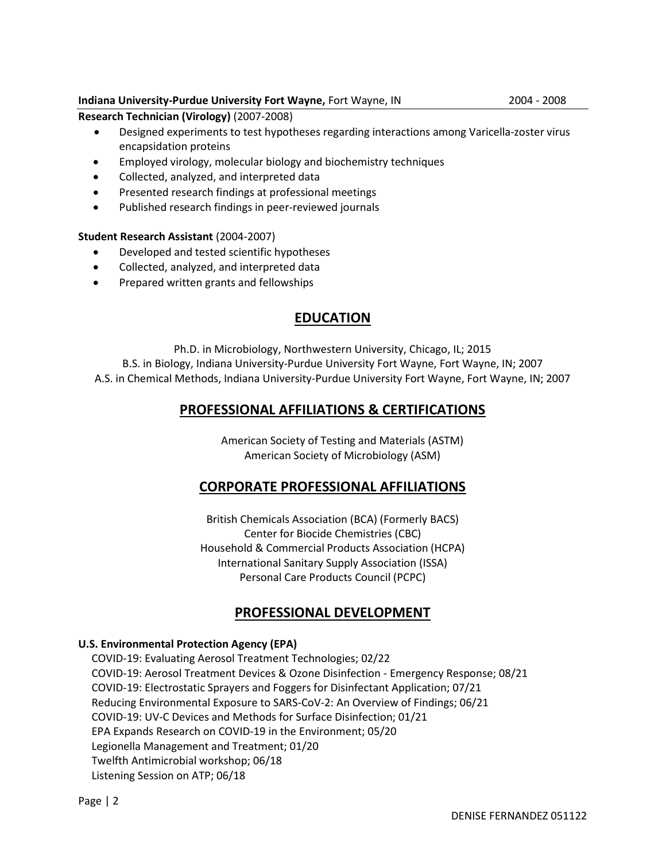# Indiana University-Purdue University Fort Wayne, Fort Wayne, IN 2004 - 2008

Research Technician (Virology) (2007-2008)

- Designed experiments to test hypotheses regarding interactions among Varicella-zoster virus encapsidation proteins
- Employed virology, molecular biology and biochemistry techniques
- Collected, analyzed, and interpreted data
- Presented research findings at professional meetings
- Published research findings in peer-reviewed journals

# Student Research Assistant (2004-2007)

- Developed and tested scientific hypotheses
- Collected, analyzed, and interpreted data
- Prepared written grants and fellowships

# EDUCATION

Ph.D. in Microbiology, Northwestern University, Chicago, IL; 2015 B.S. in Biology, Indiana University-Purdue University Fort Wayne, Fort Wayne, IN; 2007 A.S. in Chemical Methods, Indiana University-Purdue University Fort Wayne, Fort Wayne, IN; 2007

# PROFESSIONAL AFFILIATIONS & CERTIFICATIONS

American Society of Testing and Materials (ASTM) American Society of Microbiology (ASM)

# CORPORATE PROFESSIONAL AFFILIATIONS

British Chemicals Association (BCA) (Formerly BACS) Center for Biocide Chemistries (CBC) Household & Commercial Products Association (HCPA) International Sanitary Supply Association (ISSA) Personal Care Products Council (PCPC)

# PROFESSIONAL DEVELOPMENT

# U.S. Environmental Protection Agency (EPA)

COVID-19: Evaluating Aerosol Treatment Technologies; 02/22 COVID-19: Aerosol Treatment Devices & Ozone Disinfection - Emergency Response; 08/21 COVID-19: Electrostatic Sprayers and Foggers for Disinfectant Application; 07/21 Reducing Environmental Exposure to SARS-CoV-2: An Overview of Findings; 06/21 COVID-19: UV-C Devices and Methods for Surface Disinfection; 01/21 EPA Expands Research on COVID-19 in the Environment; 05/20 Legionella Management and Treatment; 01/20 Twelfth Antimicrobial workshop; 06/18 Listening Session on ATP; 06/18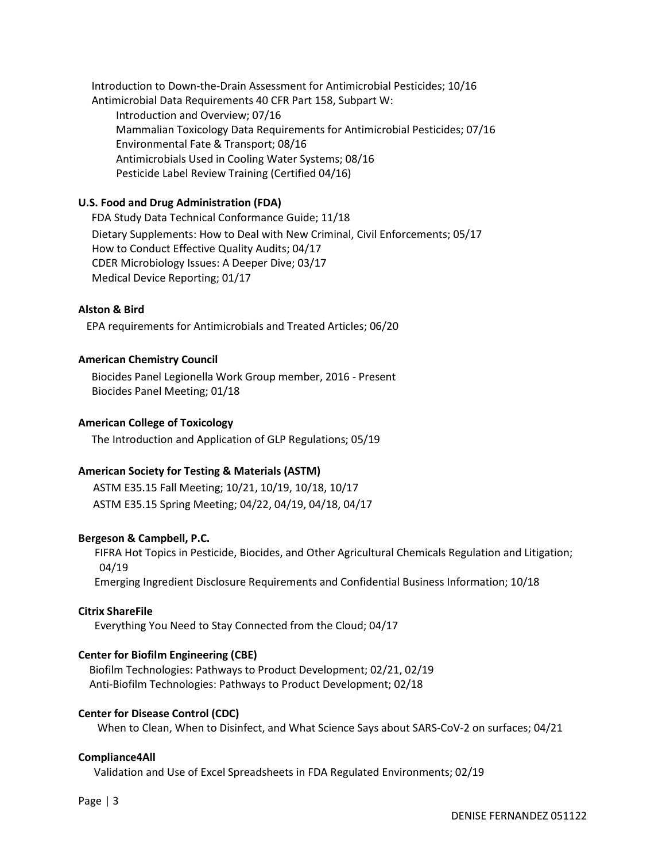Introduction to Down-the-Drain Assessment for Antimicrobial Pesticides; 10/16 Antimicrobial Data Requirements 40 CFR Part 158, Subpart W:

 Introduction and Overview; 07/16 Mammalian Toxicology Data Requirements for Antimicrobial Pesticides; 07/16 Environmental Fate & Transport; 08/16 Antimicrobials Used in Cooling Water Systems; 08/16 Pesticide Label Review Training (Certified 04/16)

# U.S. Food and Drug Administration (FDA)

FDA Study Data Technical Conformance Guide; 11/18 Dietary Supplements: How to Deal with New Criminal, Civil Enforcements; 05/17 How to Conduct Effective Quality Audits; 04/17 CDER Microbiology Issues: A Deeper Dive; 03/17 Medical Device Reporting; 01/17

#### Alston & Bird

EPA requirements for Antimicrobials and Treated Articles; 06/20

#### American Chemistry Council

Biocides Panel Legionella Work Group member, 2016 - Present Biocides Panel Meeting; 01/18

#### American College of Toxicology

The Introduction and Application of GLP Regulations; 05/19

# American Society for Testing & Materials (ASTM)

ASTM E35.15 Fall Meeting; 10/21, 10/19, 10/18, 10/17 ASTM E35.15 Spring Meeting; 04/22, 04/19, 04/18, 04/17

# Bergeson & Campbell, P.C.

 FIFRA Hot Topics in Pesticide, Biocides, and Other Agricultural Chemicals Regulation and Litigation; 04/19

Emerging Ingredient Disclosure Requirements and Confidential Business Information; 10/18

#### Citrix ShareFile

Everything You Need to Stay Connected from the Cloud; 04/17

# Center for Biofilm Engineering (CBE)

 Biofilm Technologies: Pathways to Product Development; 02/21, 02/19 Anti-Biofilm Technologies: Pathways to Product Development; 02/18

#### Center for Disease Control (CDC)

When to Clean, When to Disinfect, and What Science Says about SARS-CoV-2 on surfaces; 04/21

#### Compliance4All

Validation and Use of Excel Spreadsheets in FDA Regulated Environments; 02/19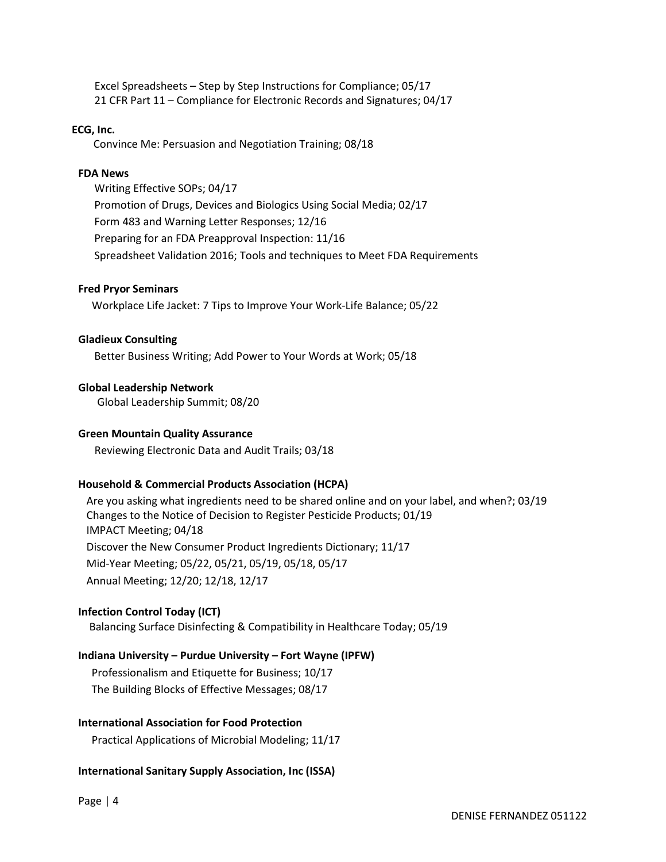Excel Spreadsheets – Step by Step Instructions for Compliance; 05/17 21 CFR Part 11 – Compliance for Electronic Records and Signatures; 04/17

#### ECG, Inc.

Convince Me: Persuasion and Negotiation Training; 08/18

#### FDA News

 Writing Effective SOPs; 04/17 Promotion of Drugs, Devices and Biologics Using Social Media; 02/17 Form 483 and Warning Letter Responses; 12/16 Preparing for an FDA Preapproval Inspection: 11/16 Spreadsheet Validation 2016; Tools and techniques to Meet FDA Requirements

#### Fred Pryor Seminars

Workplace Life Jacket: 7 Tips to Improve Your Work-Life Balance; 05/22

#### Gladieux Consulting

Better Business Writing; Add Power to Your Words at Work; 05/18

#### Global Leadership Network

Global Leadership Summit; 08/20

#### Green Mountain Quality Assurance

Reviewing Electronic Data and Audit Trails; 03/18

# Household & Commercial Products Association (HCPA)

 Are you asking what ingredients need to be shared online and on your label, and when?; 03/19 Changes to the Notice of Decision to Register Pesticide Products; 01/19 IMPACT Meeting; 04/18 Discover the New Consumer Product Ingredients Dictionary; 11/17 Mid-Year Meeting; 05/22, 05/21, 05/19, 05/18, 05/17 Annual Meeting; 12/20; 12/18, 12/17

# Infection Control Today (ICT)

Balancing Surface Disinfecting & Compatibility in Healthcare Today; 05/19

# Indiana University – Purdue University – Fort Wayne (IPFW)

Professionalism and Etiquette for Business; 10/17 The Building Blocks of Effective Messages; 08/17

# International Association for Food Protection

Practical Applications of Microbial Modeling; 11/17

# International Sanitary Supply Association, Inc (ISSA)

Page | 4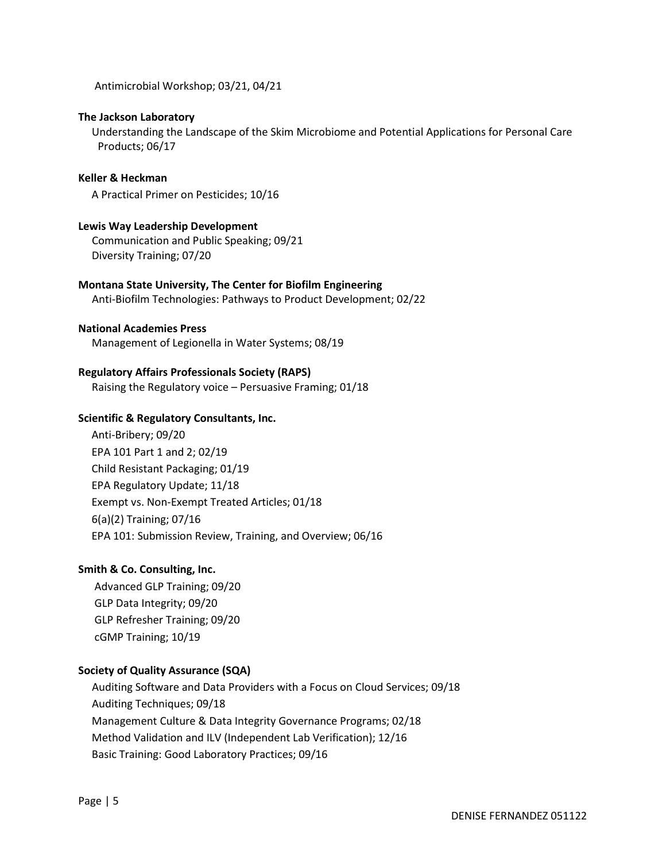Antimicrobial Workshop; 03/21, 04/21

#### The Jackson Laboratory

 Understanding the Landscape of the Skim Microbiome and Potential Applications for Personal Care Products; 06/17

#### Keller & Heckman

A Practical Primer on Pesticides; 10/16

#### Lewis Way Leadership Development

 Communication and Public Speaking; 09/21 Diversity Training; 07/20

#### Montana State University, The Center for Biofilm Engineering

Anti-Biofilm Technologies: Pathways to Product Development; 02/22

#### National Academies Press

Management of Legionella in Water Systems; 08/19

#### Regulatory Affairs Professionals Society (RAPS)

Raising the Regulatory voice – Persuasive Framing; 01/18

#### Scientific & Regulatory Consultants, Inc.

Anti-Bribery; 09/20 EPA 101 Part 1 and 2; 02/19 Child Resistant Packaging; 01/19 EPA Regulatory Update; 11/18 Exempt vs. Non-Exempt Treated Articles; 01/18 6(a)(2) Training; 07/16 EPA 101: Submission Review, Training, and Overview; 06/16

# Smith & Co. Consulting, Inc.

 Advanced GLP Training; 09/20 GLP Data Integrity; 09/20 GLP Refresher Training; 09/20 cGMP Training; 10/19

# Society of Quality Assurance (SQA)

 Auditing Software and Data Providers with a Focus on Cloud Services; 09/18 Auditing Techniques; 09/18 Management Culture & Data Integrity Governance Programs; 02/18 Method Validation and ILV (Independent Lab Verification); 12/16 Basic Training: Good Laboratory Practices; 09/16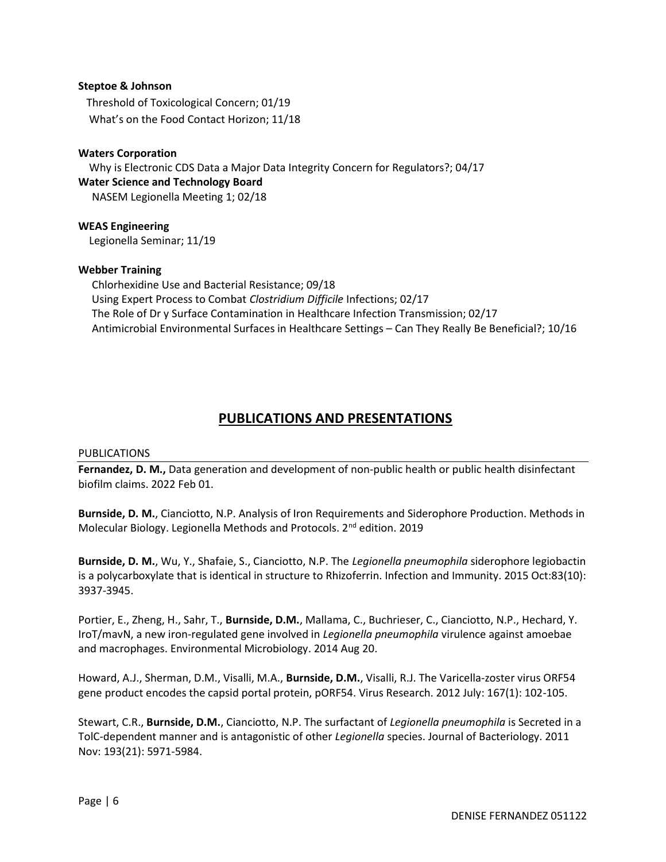### Steptoe & Johnson

 Threshold of Toxicological Concern; 01/19 What's on the Food Contact Horizon; 11/18

### Waters Corporation

 Why is Electronic CDS Data a Major Data Integrity Concern for Regulators?; 04/17 Water Science and Technology Board NASEM Legionella Meeting 1; 02/18

WEAS Engineering Legionella Seminar; 11/19

#### Webber Training

 Chlorhexidine Use and Bacterial Resistance; 09/18 Using Expert Process to Combat Clostridium Difficile Infections; 02/17 The Role of Dr y Surface Contamination in Healthcare Infection Transmission; 02/17 Antimicrobial Environmental Surfaces in Healthcare Settings – Can They Really Be Beneficial?; 10/16

# PUBLICATIONS AND PRESENTATIONS

#### PUBLICATIONS

Fernandez, D. M., Data generation and development of non-public health or public health disinfectant biofilm claims. 2022 Feb 01.

Burnside, D. M., Cianciotto, N.P. Analysis of Iron Requirements and Siderophore Production. Methods in Molecular Biology. Legionella Methods and Protocols. 2nd edition. 2019

Burnside, D. M., Wu, Y., Shafaie, S., Cianciotto, N.P. The Legionella pneumophila siderophore legiobactin is a polycarboxylate that is identical in structure to Rhizoferrin. Infection and Immunity. 2015 Oct:83(10): 3937-3945.

Portier, E., Zheng, H., Sahr, T., Burnside, D.M., Mallama, C., Buchrieser, C., Cianciotto, N.P., Hechard, Y. IroT/mavN, a new iron-regulated gene involved in Legionella pneumophila virulence against amoebae and macrophages. Environmental Microbiology. 2014 Aug 20.

Howard, A.J., Sherman, D.M., Visalli, M.A., Burnside, D.M., Visalli, R.J. The Varicella-zoster virus ORF54 gene product encodes the capsid portal protein, pORF54. Virus Research. 2012 July: 167(1): 102-105.

Stewart, C.R., **Burnside, D.M.**, Cianciotto, N.P. The surfactant of Legionella pneumophila is Secreted in a TolC-dependent manner and is antagonistic of other Legionella species. Journal of Bacteriology. 2011 Nov: 193(21): 5971-5984.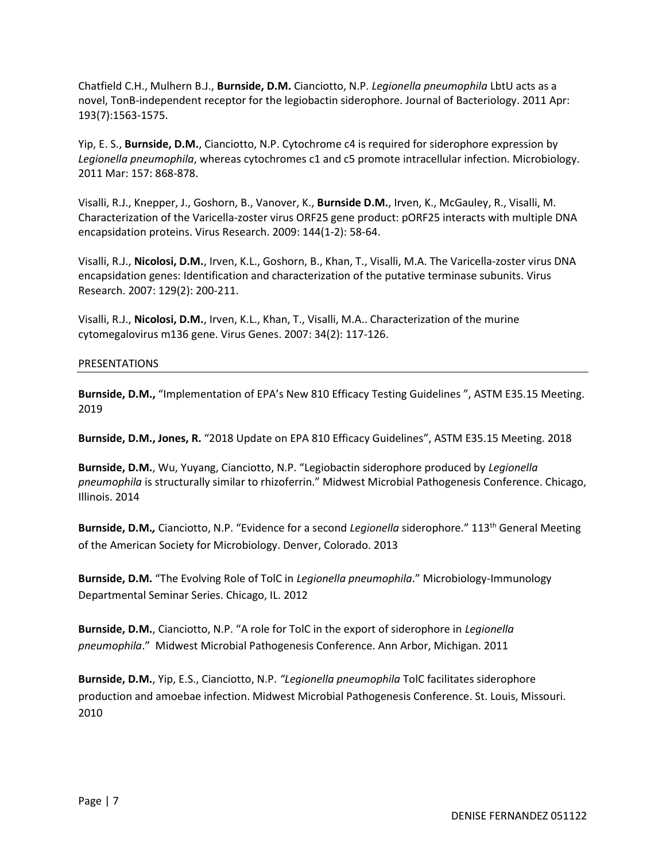Chatfield C.H., Mulhern B.J., Burnside, D.M. Cianciotto, N.P. Legionella pneumophila LbtU acts as a novel, TonB-independent receptor for the legiobactin siderophore. Journal of Bacteriology. 2011 Apr: 193(7):1563-1575.

Yip, E. S., Burnside, D.M., Cianciotto, N.P. Cytochrome c4 is required for siderophore expression by Legionella pneumophila, whereas cytochromes c1 and c5 promote intracellular infection. Microbiology. 2011 Mar: 157: 868-878.

Visalli, R.J., Knepper, J., Goshorn, B., Vanover, K., Burnside D.M., Irven, K., McGauley, R., Visalli, M. Characterization of the Varicella-zoster virus ORF25 gene product: pORF25 interacts with multiple DNA encapsidation proteins. Virus Research. 2009: 144(1-2): 58-64.

Visalli, R.J., Nicolosi, D.M., Irven, K.L., Goshorn, B., Khan, T., Visalli, M.A. The Varicella-zoster virus DNA encapsidation genes: Identification and characterization of the putative terminase subunits. Virus Research. 2007: 129(2): 200-211.

Visalli, R.J., Nicolosi, D.M., Irven, K.L., Khan, T., Visalli, M.A.. Characterization of the murine cytomegalovirus m136 gene. Virus Genes. 2007: 34(2): 117-126.

# PRESENTATIONS

Burnside, D.M., "Implementation of EPA's New 810 Efficacy Testing Guidelines ", ASTM E35.15 Meeting. 2019

Burnside, D.M., Jones, R. "2018 Update on EPA 810 Efficacy Guidelines", ASTM E35.15 Meeting. 2018

Burnside, D.M., Wu, Yuyang, Cianciotto, N.P. "Legiobactin siderophore produced by Legionella pneumophila is structurally similar to rhizoferrin." Midwest Microbial Pathogenesis Conference. Chicago, Illinois. 2014

Burnside, D.M., Cianciotto, N.P. "Evidence for a second Legionella siderophore." 113<sup>th</sup> General Meeting of the American Society for Microbiology. Denver, Colorado. 2013

Burnside, D.M. "The Evolving Role of TolC in Legionella pneumophila." Microbiology-Immunology Departmental Seminar Series. Chicago, IL. 2012

Burnside, D.M., Cianciotto, N.P. "A role for TolC in the export of siderophore in Legionella pneumophila." Midwest Microbial Pathogenesis Conference. Ann Arbor, Michigan. 2011

Burnside, D.M., Yip, E.S., Cianciotto, N.P. "Legionella pneumophila TolC facilitates siderophore production and amoebae infection. Midwest Microbial Pathogenesis Conference. St. Louis, Missouri. 2010